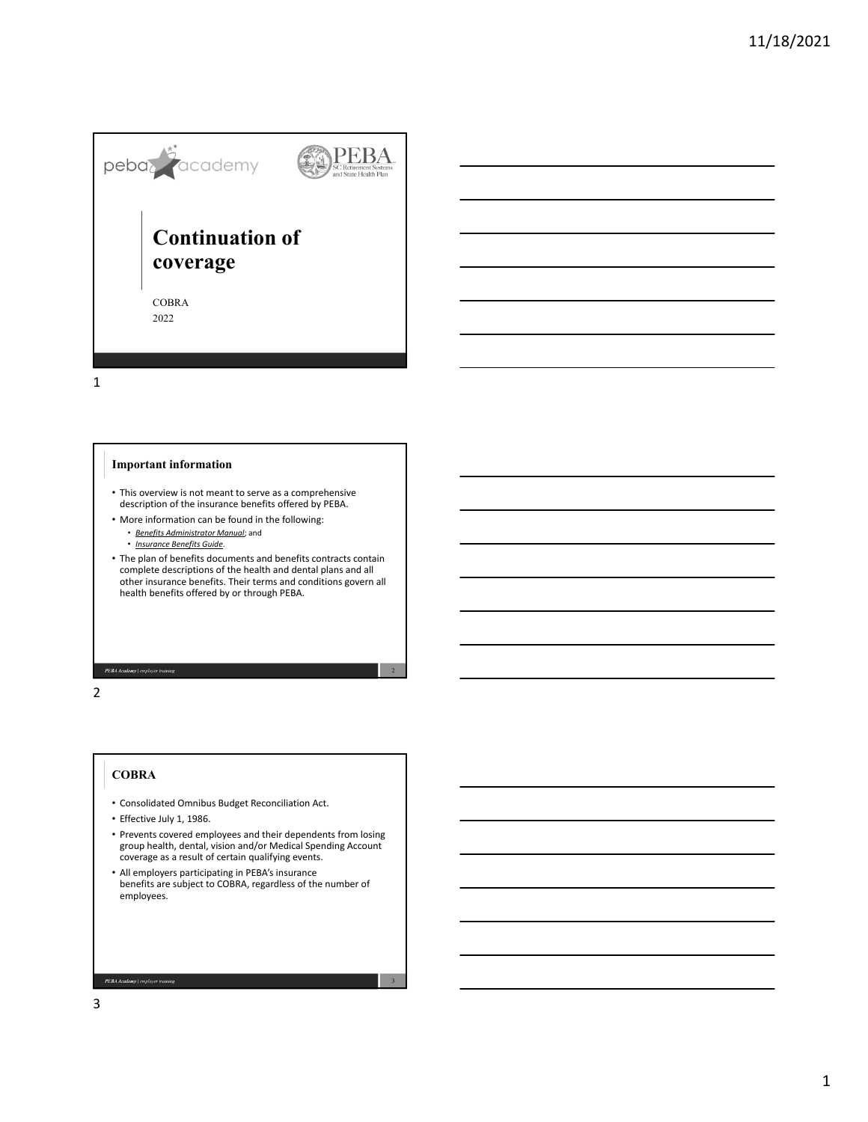

1

## **Important information**

- This overview is not meant to serve as a comprehensive description of the insurance benefits offered by PEBA.
- More information can be found in the following:
	- *Benefits Administrator Manual*; and
	- *Insurance Benefits Guide*.
- The plan of benefits documents and benefits contracts contain complete descriptions of the health and dental plans and all other insurance benefits. Their terms and conditions govern all health benefits offered by or through PEBA.

2

3

2

## **COBRA**

**PEBA Academy** | employer training

- Consolidated Omnibus Budget Reconciliation Act.
- Effective July 1, 1986.
- Prevents covered employees and their dependents from losing group health, dental, vision and/or Medical Spending Account coverage as a result of certain qualifying events.
- All employers participating in PEBA's insurance benefits are subject to COBRA, regardless of the number of employees.

3

PEBA Academy | employer training